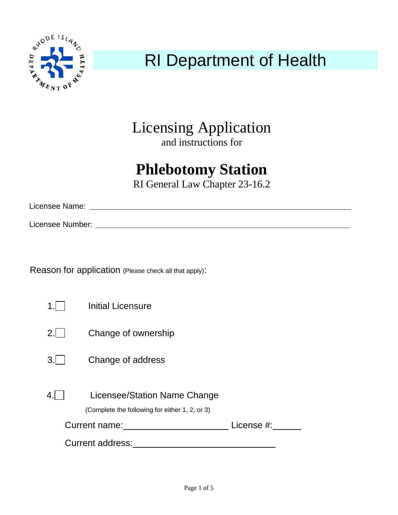

# RI Department of Health

Licensing Application and instructions for

# **Phlebotomy Station**

RI General Law Chapter 23-16.2

Licensee Name:

Licensee Number: \_\_\_\_\_\_\_\_\_\_\_\_\_\_\_\_\_\_\_\_\_\_\_\_\_\_\_\_\_\_\_\_\_\_\_\_\_\_\_\_\_\_\_\_\_\_\_\_\_\_\_\_\_\_\_\_\_\_\_\_\_\_\_\_\_\_\_\_\_\_\_\_\_\_\_\_\_\_\_\_\_\_\_\_\_\_\_\_

Reason for application (Please check all that apply):

| 1                           | <b>Initial Licensure</b>                                                       |  |
|-----------------------------|--------------------------------------------------------------------------------|--|
| 2.1                         | Change of ownership                                                            |  |
| 3.1                         | Change of address                                                              |  |
|                             | Licensee/Station Name Change<br>(Complete the following for either 1, 2, or 3) |  |
| Current name:<br>License #: |                                                                                |  |
| <b>Current address:</b>     |                                                                                |  |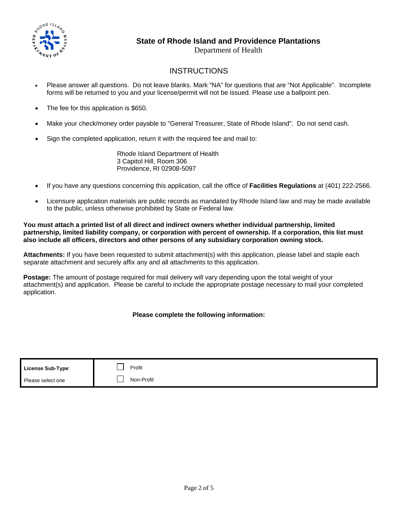

### **State of Rhode Island and Providence Plantations**

Department of Health

## **INSTRUCTIONS**

- Please answer all questions. Do not leave blanks. Mark "NA" for questions that are "Not Applicable". Incomplete forms will be returned to you and your license/permit will not be issued. Please use a ballpoint pen.
- The fee for this application is \$650.
- Make your check/money order payable to "General Treasurer, State of Rhode Island". Do not send cash.
- Sign the completed application, return it with the required fee and mail to:

 Rhode Island Department of Health 3 Capitol Hill, Room 306 Providence, RI 02908-5097

- If you have any questions concerning this application, call the office of **Facilities Regulations** at (401) 222-2566.
- Licensure application materials are public records as mandated by Rhode Island law and may be made available to the public, unless otherwise prohibited by State or Federal law.

**You must attach a printed list of all direct and indirect owners whether individual partnership, limited partnership, limited liability company, or corporation with percent of ownership. If a corporation, this list must also include all officers, directors and other persons of any subsidiary corporation owning stock.** 

**Attachments:** If you have been requested to submit attachment(s) with this application, please label and staple each separate attachment and securely affix any and all attachments to this application.

**Postage:** The amount of postage required for mail delivery will vary depending upon the total weight of your attachment(s) and application. Please be careful to include the appropriate postage necessary to mail your completed application.

#### **Please complete the following information:**

| License Sub-Type: | Profit     |
|-------------------|------------|
| Please select one | Non-Profit |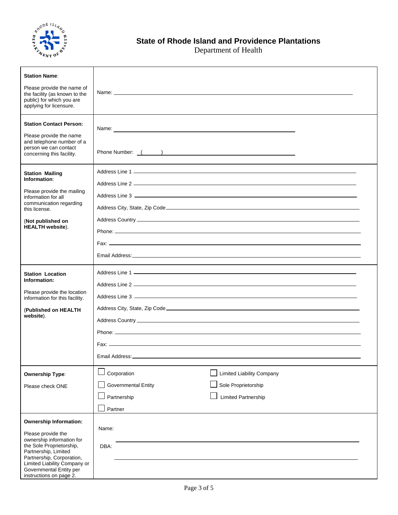

Department of Health

| <b>Station Name:</b>                                                                                                                                                                                                   |                                                                                                                                                                                                                                                           |
|------------------------------------------------------------------------------------------------------------------------------------------------------------------------------------------------------------------------|-----------------------------------------------------------------------------------------------------------------------------------------------------------------------------------------------------------------------------------------------------------|
| Please provide the name of<br>the facility (as known to the<br>public) for which you are<br>applying for licensure.                                                                                                    |                                                                                                                                                                                                                                                           |
| <b>Station Contact Person:</b><br>Please provide the name<br>and telephone number of a<br>person we can contact<br>concerning this facility.                                                                           | Name: <u>example and the second contract of the second contract of the second contract of the second contract of the second contract of the second contract of the second contract of the second contract of the second contract</u><br>Phone Number: ( ) |
| <b>Station Mailing</b><br>Information:<br>Please provide the mailing<br>information for all<br>communication regarding<br>this license.<br>(Not published on                                                           |                                                                                                                                                                                                                                                           |
| <b>HEALTH</b> website).                                                                                                                                                                                                |                                                                                                                                                                                                                                                           |
| <b>Station Location</b><br>Information:<br>Please provide the location<br>information for this facility.                                                                                                               |                                                                                                                                                                                                                                                           |
| (Published on HEALTH<br>website).                                                                                                                                                                                      | Phone: Note: 2006 and 2007 and 2008 and 2008 and 2008 and 2008 and 2008 and 2008 and 2008 and 2008 and 2008 and 2008 and 2008 and 2008 and 2008 and 2008 and 2008 and 2008 and 2008 and 2008 and 2008 and 2008 and 2008 and 20                            |
|                                                                                                                                                                                                                        | Email Address:                                                                                                                                                                                                                                            |
| <b>Ownership Type:</b>                                                                                                                                                                                                 | Corporation<br><b>Limited Liability Company</b>                                                                                                                                                                                                           |
| Please check ONE                                                                                                                                                                                                       | <b>Governmental Entity</b><br>Sole Proprietorship<br>Partnership<br><b>Limited Partnership</b><br>Partner                                                                                                                                                 |
| <b>Ownership Information:</b>                                                                                                                                                                                          |                                                                                                                                                                                                                                                           |
| Please provide the<br>ownership information for<br>the Sole Proprietorship,<br>Partnership, Limited<br>Partnership, Corporation,<br>Limited Liability Company or<br>Governmental Entity per<br>instructions on page 2. | Name:<br>DBA:                                                                                                                                                                                                                                             |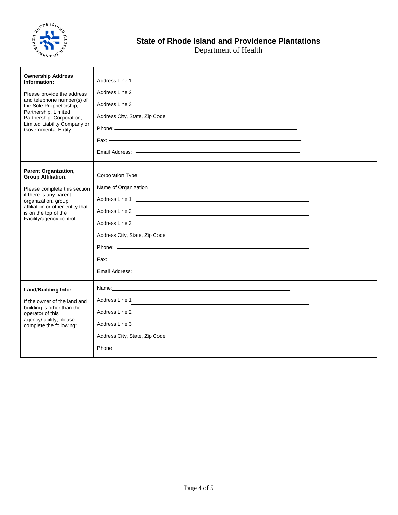

Department of Health

| <b>Ownership Address</b><br>Information:<br>Please provide the address<br>and telephone number(s) of<br>the Sole Proprietorship,<br>Partnership, Limited<br>Partnership, Corporation,<br>Limited Liability Company or<br>Governmental Entity. | Address Line 2 <b>Contract Contract Contract Contract Contract Contract Contract Contract Contract Contract Contract Contract Contract Contract Contract Contract Contract Contract Contract Contract Contract Contract Contract</b><br>Address City, State, Zip Code Manual Address City, State, Zip Code                                                        |  |
|-----------------------------------------------------------------------------------------------------------------------------------------------------------------------------------------------------------------------------------------------|-------------------------------------------------------------------------------------------------------------------------------------------------------------------------------------------------------------------------------------------------------------------------------------------------------------------------------------------------------------------|--|
| <b>Parent Organization,</b><br><b>Group Affiliation:</b><br>Please complete this section<br>if there is any parent<br>organization, group<br>affiliation or other entity that<br>is on the top of the<br>Facility/agency control              | Name of Organization <b>Construction</b> and the state of Organization and the state of the state of the state of the state of the state of the state of the state of the state of the state of the state of the state of the state<br>Address Line 2<br>Address City, State, Zip Code<br><u> 1989 - Johann Stoff, fransk politik (d. 1989)</u><br>Email Address: |  |
| <b>Land/Building Info:</b><br>If the owner of the land and<br>building is other than the<br>operator of this<br>agency/facility, please<br>complete the following:                                                                            | Address Line 1<br>Address Line 2 and 2 and 2 and 2 and 2 and 2 and 2 and 2 and 2 and 2 and 2 and 2 and 2 and 2 and 2 and 2 and 2<br>Address Line 3<br><u> 1989 - Johann Barn, amerikansk politiker (d. 1989)</u><br>Address City, State, Zip Code <b>Constant Constant Constant Constant Constant Constant Constant Constant Constant</b>                         |  |